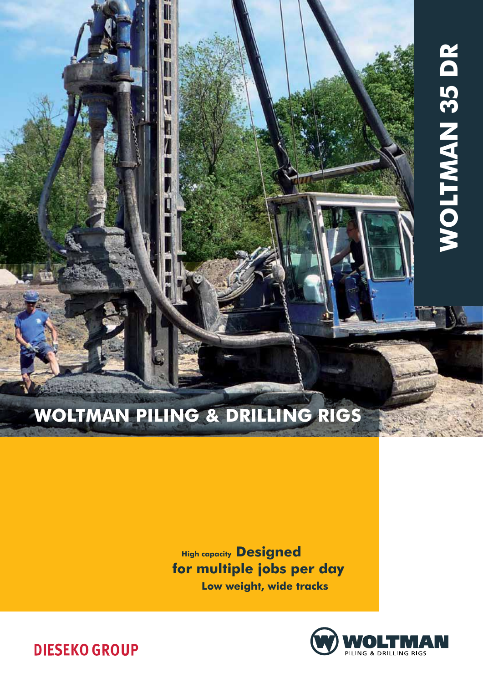# Woltman Piling & Drilling rigs

W

II

M

**High capacity Designed** for multiple jobs per day Low weight, wide tracks



Woltman 35 DR

**WOLTMAN 35 DR** 

### **DIESEKO GROUP**